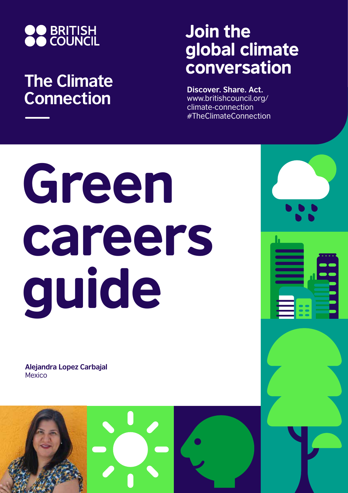

## **The Climate Connection**

## Join the global climate conversation

**Discover. Share. Act.** www.britishcouncil.org/ climate-connection #TheClimateConnection

## Green careers guide

**Alejandra Lopez Carbajal** Mexico

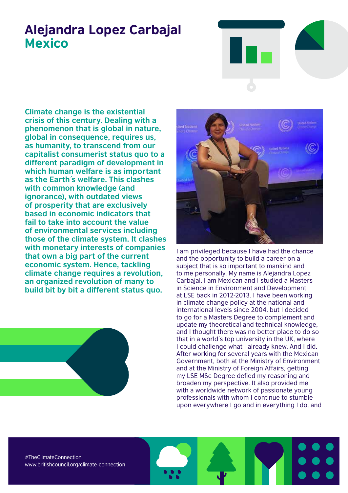## Alejandra Lopez Carbajal **Mexico**



**Climate change is the existential crisis of this century. Dealing with a phenomenon that is global in nature, global in consequence, requires us, as humanity, to transcend from our capitalist consumerist status quo to a different paradigm of development in which human welfare is as important as the Earth´s welfare. This clashes with common knowledge (and ignorance), with outdated views of prosperity that are exclusively based in economic indicators that fail to take into account the value of environmental services including those of the climate system. It clashes with monetary interests of companies that own a big part of the current economic system. Hence, tackling climate change requires a revolution, an organized revolution of many to build bit by bit a different status quo.** 





I am privileged because I have had the chance and the opportunity to build a career on a subject that is so important to mankind and to me personally. My name is Alejandra Lopez Carbajal. I am Mexican and I studied a Masters in Science in Environment and Development at LSE back in 2012-2013. I have been working in climate change policy at the national and international levels since 2004, but I decided to go for a Masters Degree to complement and update my theoretical and technical knowledge, and I thought there was no better place to do so that in a world´s top university in the UK, where I could challenge what I already knew. And I did. After working for several years with the Mexican Government, both at the Ministry of Environment and at the Ministry of Foreign Affairs, getting my LSE MSc Degree defied my reasoning and broaden my perspective. It also provided me with a worldwide network of passionate young professionals with whom I continue to stumble upon everywhere I go and in everything I do, and

#TheClimateConnection www.britishcouncil.org/climate-connection